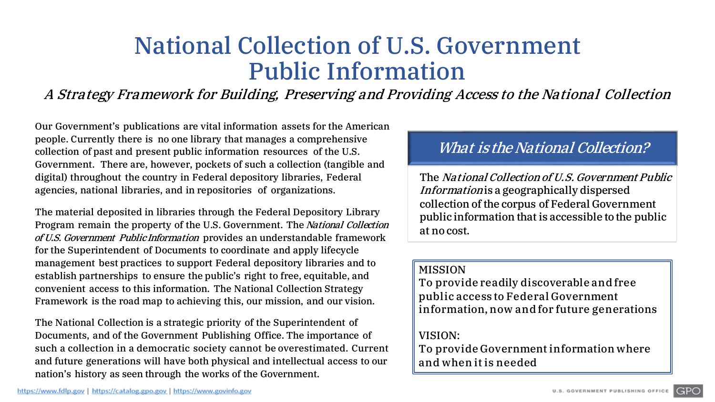# National Collection of U.S. Government Public Information

A Strategy Framework for Building, Preserving and Providing Access to the National Collection

Our Government's publications are vital information assets for the American people. Currently there is no one library that manages a comprehensive collection of past and present public information resources of the U.S. Government. There are, however, pockets of such a collection (tangible and digital) throughout the country in Federal depository libraries, Federal agencies, national libraries, and in repositories of organizations.

The material deposited in libraries through the Federal Depository Library Program remain the property of the U.S. Government. The National Collection of U.S. Government PublicInformation provides an understandable framework for the Superintendent of Documents to coordinate and apply lifecycle management best practices to support Federal depository libraries and to establish partnerships to ensure the public's right to free, equitable, and convenient access to this information. The National Collection Strategy Framework is the road map to achieving this, our mission, and our vision.

The National Collection is a strategic priority of the Superintendent of Documents, and of the Government Publishing Office. The importance of such a collection in a democratic society cannot be overestimated. Current and future generations will have both physical and intellectual access to our nation's history as seen through the works of the Government.

## What is the National Collection?

The National Collection of U.S. Government Public Information is a geographically dispersed collection of the corpus of Federal Government public information that is accessible to the public at no cost.

#### MISSION

To provide readily discoverable and free public access to Federal Government information, now and for future generations

### VISION:

To provide Government information where and when it is needed